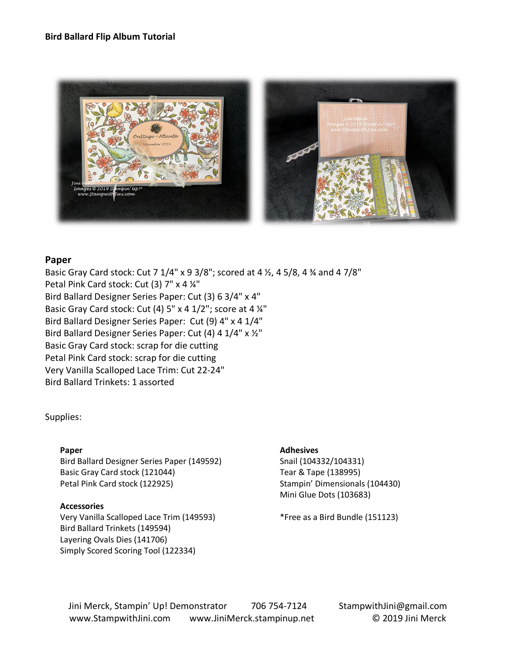### **Bird Ballard Flip Album Tutorial**



### **Paper**

Basic Gray Card stock: Cut 7 1/4" x 9 3/8"; scored at 4 ½, 4 5/8, 4 ¾ and 4 7/8" Petal Pink Card stock: Cut (3) 7" x 4 ¼" Bird Ballard Designer Series Paper: Cut (3) 6 3/4" x 4" Basic Gray Card stock: Cut (4) 5" x 4 1/2"; score at 4 ¼" Bird Ballard Designer Series Paper: Cut (9) 4" x 4 1/4" Bird Ballard Designer Series Paper: Cut (4) 4 1/4" x ½" Basic Gray Card stock: scrap for die cutting Petal Pink Card stock: scrap for die cutting Very Vanilla Scalloped Lace Trim: Cut 22-24" Bird Ballard Trinkets: 1 assorted

#### Supplies:

#### **Paper**

Bird Ballard Designer Series Paper (149592) Basic Gray Card stock (121044) Petal Pink Card stock (122925)

#### **Accessories**

Very Vanilla Scalloped Lace Trim (149593) Bird Ballard Trinkets (149594) Layering Ovals Dies (141706) Simply Scored Scoring Tool (122334)

#### **Adhesives**

Snail (104332/104331) Tear & Tape (138995) Stampin' Dimensionals (104430) Mini Glue Dots (103683)

\*Free as a Bird Bundle (151123)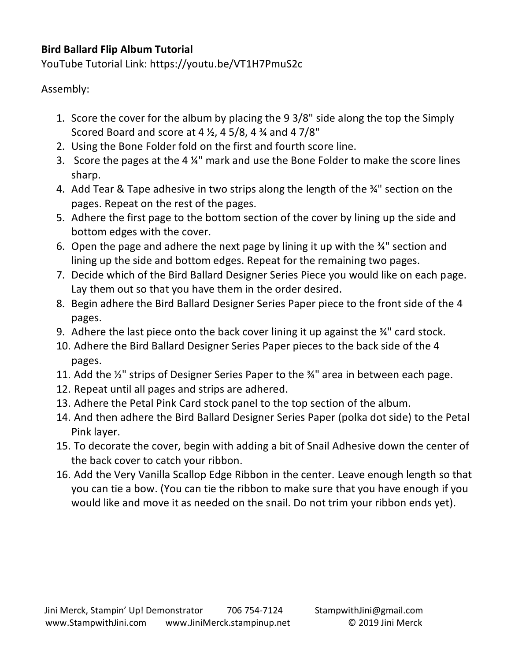# **Bird Ballard Flip Album Tutorial**

YouTube Tutorial Link: https://youtu.be/VT1H7PmuS2c

Assembly:

- 1. Score the cover for the album by placing the 9 3/8" side along the top the Simply Scored Board and score at 4  $\frac{1}{2}$ , 4 5/8, 4  $\frac{3}{4}$  and 4 7/8"
- 2. Using the Bone Folder fold on the first and fourth score line.
- 3. Score the pages at the 4 ¼" mark and use the Bone Folder to make the score lines sharp.
- 4. Add Tear & Tape adhesive in two strips along the length of the ¾" section on the pages. Repeat on the rest of the pages.
- 5. Adhere the first page to the bottom section of the cover by lining up the side and bottom edges with the cover.
- 6. Open the page and adhere the next page by lining it up with the  $\frac{3}{4}$ " section and lining up the side and bottom edges. Repeat for the remaining two pages.
- 7. Decide which of the Bird Ballard Designer Series Piece you would like on each page. Lay them out so that you have them in the order desired.
- 8. Begin adhere the Bird Ballard Designer Series Paper piece to the front side of the 4 pages.
- 9. Adhere the last piece onto the back cover lining it up against the ¾" card stock.
- 10. Adhere the Bird Ballard Designer Series Paper pieces to the back side of the 4 pages.
- 11. Add the ½" strips of Designer Series Paper to the ¾" area in between each page.
- 12. Repeat until all pages and strips are adhered.
- 13. Adhere the Petal Pink Card stock panel to the top section of the album.
- 14. And then adhere the Bird Ballard Designer Series Paper (polka dot side) to the Petal Pink layer.
- 15. To decorate the cover, begin with adding a bit of Snail Adhesive down the center of the back cover to catch your ribbon.
- 16. Add the Very Vanilla Scallop Edge Ribbon in the center. Leave enough length so that you can tie a bow. (You can tie the ribbon to make sure that you have enough if you would like and move it as needed on the snail. Do not trim your ribbon ends yet).